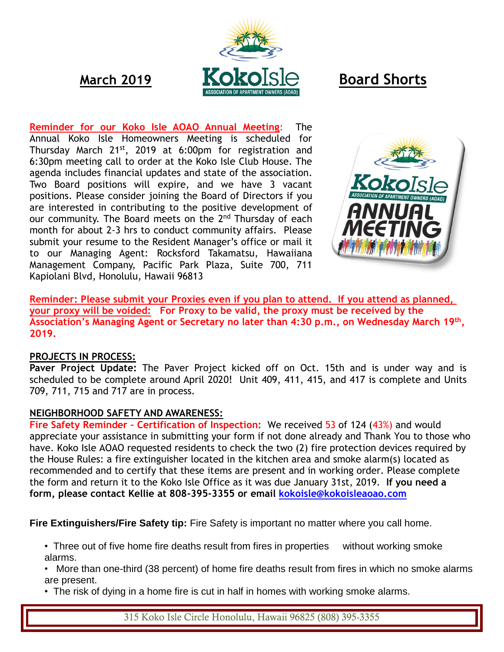

**Reminder for our Koko Isle AOAO Annual Meeting**: The Annual Koko Isle Homeowners Meeting is scheduled for Thursday March 21<sup>st</sup>, 2019 at 6:00pm for registration and 6:30pm meeting call to order at the Koko Isle Club House. The agenda includes financial updates and state of the association. Two Board positions will expire, and we have 3 vacant positions. Please consider joining the Board of Directors if you are interested in contributing to the positive development of our community. The Board meets on the 2<sup>nd</sup> Thursday of each month for about 2-3 hrs to conduct community affairs. Please submit your resume to the Resident Manager's office or mail it to our Managing Agent: Rocksford Takamatsu, Hawaiiana Management Company, Pacific Park Plaza, Suite 700, 711 Kapiolani Blvd, Honolulu, Hawaii 96813



**Reminder: Please submit your Proxies even if you plan to attend. If you attend as planned, your proxy will be voided: For Proxy to be valid, the proxy must be received by the Association's Managing Agent or Secretary no later than 4:30 p.m., on Wednesday March 19th , 2019.** 

## **PROJECTS IN PROCESS:**

**Paver Project Update:** The Paver Project kicked off on Oct. 15th and is under way and is scheduled to be complete around April 2020! Unit 409, 411, 415, and 417 is complete and Units 709, 711, 715 and 717 are in process.

## **NEIGHBORHOOD SAFETY AND AWARENESS:**

**Fire Safety Reminder – Certification of Inspection:** We received 53 of 124 (43%) and would appreciate your assistance in submitting your form if not done already and Thank You to those who have. Koko Isle AOAO requested residents to check the two (2) fire protection devices required by the House Rules: a fire extinguisher located in the kitchen area and smoke alarm(s) located as recommended and to certify that these items are present and in working order. Please complete the form and return it to the Koko Isle Office as it was due January 31st, 2019. **If you need a form, please contact Kellie at 808-395-3355 or email [kokoisle@kokoisleaoao.com](mailto:kokoisle@kokoisleaoao.com)**

**Fire Extinguishers/Fire Safety tip:** Fire Safety is important no matter where you call home.

• Three out of five home fire deaths result from fires in properties without working smoke alarms.

• More than one-third (38 percent) of home fire deaths result from fires in which no smoke alarms are present.

• The risk of dying in a home fire is cut in half in homes with working smoke alarms.

315 Koko Isle Circle Honolulu, Hawaii 96825 (808) 395-3355